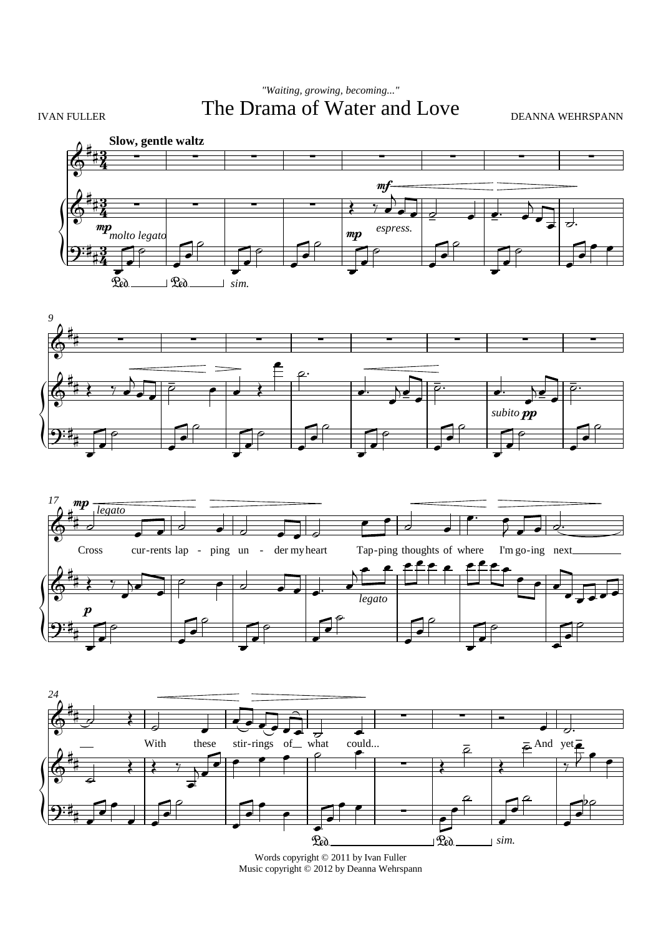## IVAN FULLER The Drama of Water and Love DEANNA WEHRSPANN *"Waiting, growing, becoming..."*









Words copyright © 2011 by Ivan Fuller Music copyright  $\stackrel{\sim}{\odot}$  2012 by Deanna Wehrspann